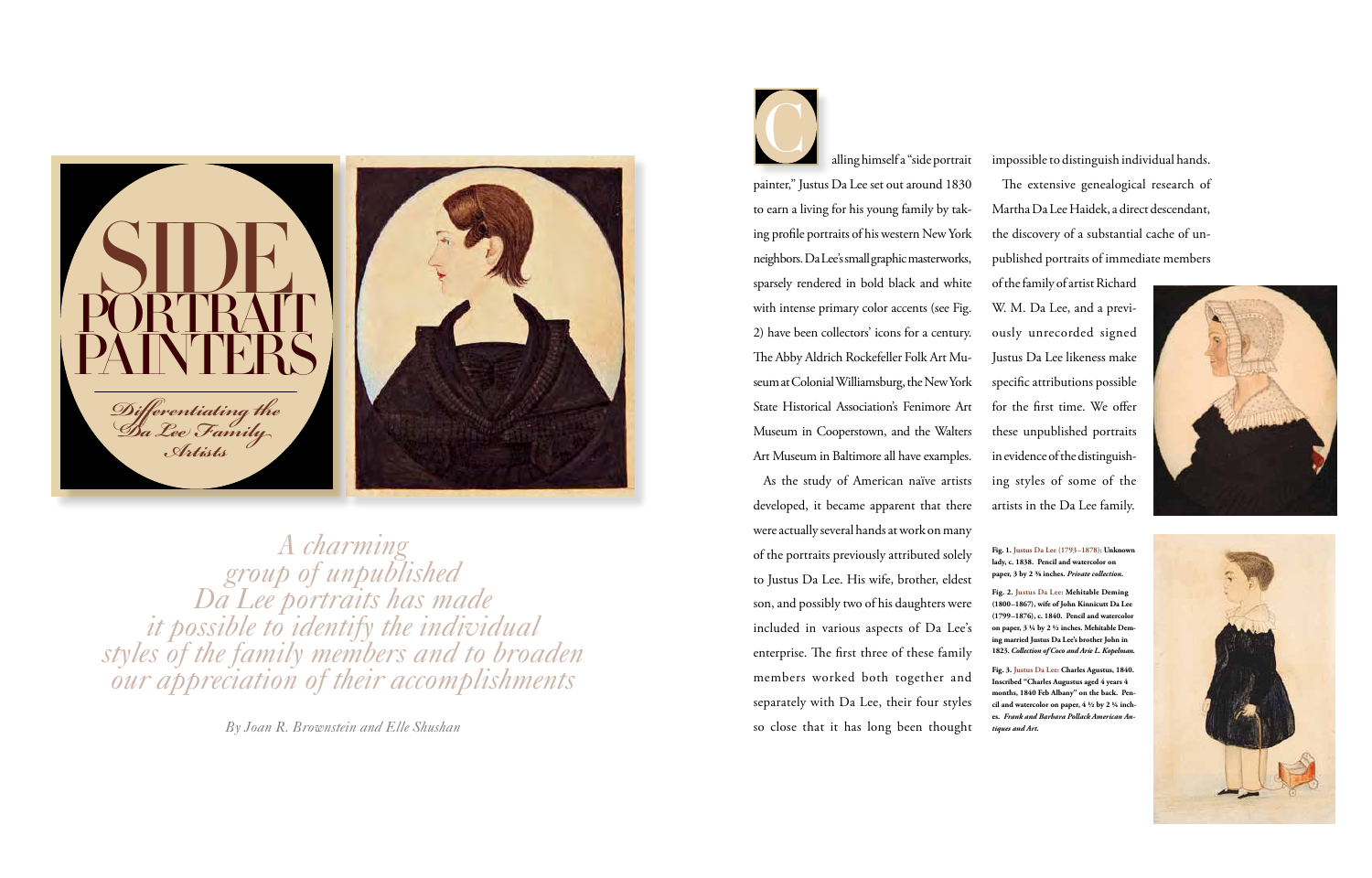alling himself a "side portrait painter," Justus Da Lee set out around 1830 to earn a living for his young family by taking profile portraits of his western New York neighbors. Da Lee's small graphic masterworks, sparsely rendered in bold black and white with intense primary color accents (see Fig. 2) have been collectors' icons for a century. The Abby Aldrich Rockefeller Folk Art Museum at Colonial Williamsburg, the New York State Historical Association's Fenimore Art Museum in Cooperstown, and the Walters Art Museum in Baltimore all have examples.

impossible to distinguish individual hands. The extensive genealogical research of Martha Da Lee Haidek, a direct descendant, the discovery of a substantial cache of unpublished portraits of immediate members

As the study of American naïve artists developed, it became apparent that there were actually several hands at work on many of the portraits previously attributed solely to Justus Da Lee. His wife, brother, eldest son, and possibly two of his daughters were included in various aspects of Da Lee's enterprise. The first three of these family members worked both together and separately with Da Lee, their four styles so close that it has long been thought *By Joan R. Brownstein and Elle Shushan tiques and Art.*

C



*A charming group of unpublished Da Lee portraits has made it possible to identify the individual styles of the family members and to broaden our appreciation of their accomplishments*

of the family of artist Richard W. M. Da Lee, and a previously unrecorded signed Justus Da Lee likeness make specific attributions possible for the first time. We offer these unpublished portraits in evidence of the distinguishing styles of some of the artists in the Da Lee family. **Fig. 1. Justus Da Lee (1793–1878): Unknown lady, c. 1838. Pencil and watercolor on paper, 3 by 2 ⅜ inches.** *Private collection.* **Fig. 2. Justus Da Lee: Mehitable Deming (1800–1867), wife of John Kinnicutt Da Lee (1799–1876), c. 1840. Pencil and watercolor on paper, 3 ¼ by 2 ½ inches. Mehitable Deming married Justus Da Lee's brother John in 1823.** *Collection of Coco and Arie L. Kopelman.* **Fig. 3. Justus Da Lee: Charles Agustus, 1840.** 

**Inscribed "Charles Augustus aged 4 years 4 months, 1840 Feb Albany" on the back. Pencil and watercolor on paper, 4 ½ by 2 ¼ inches.** *Frank and Barbara Pollack American An-*



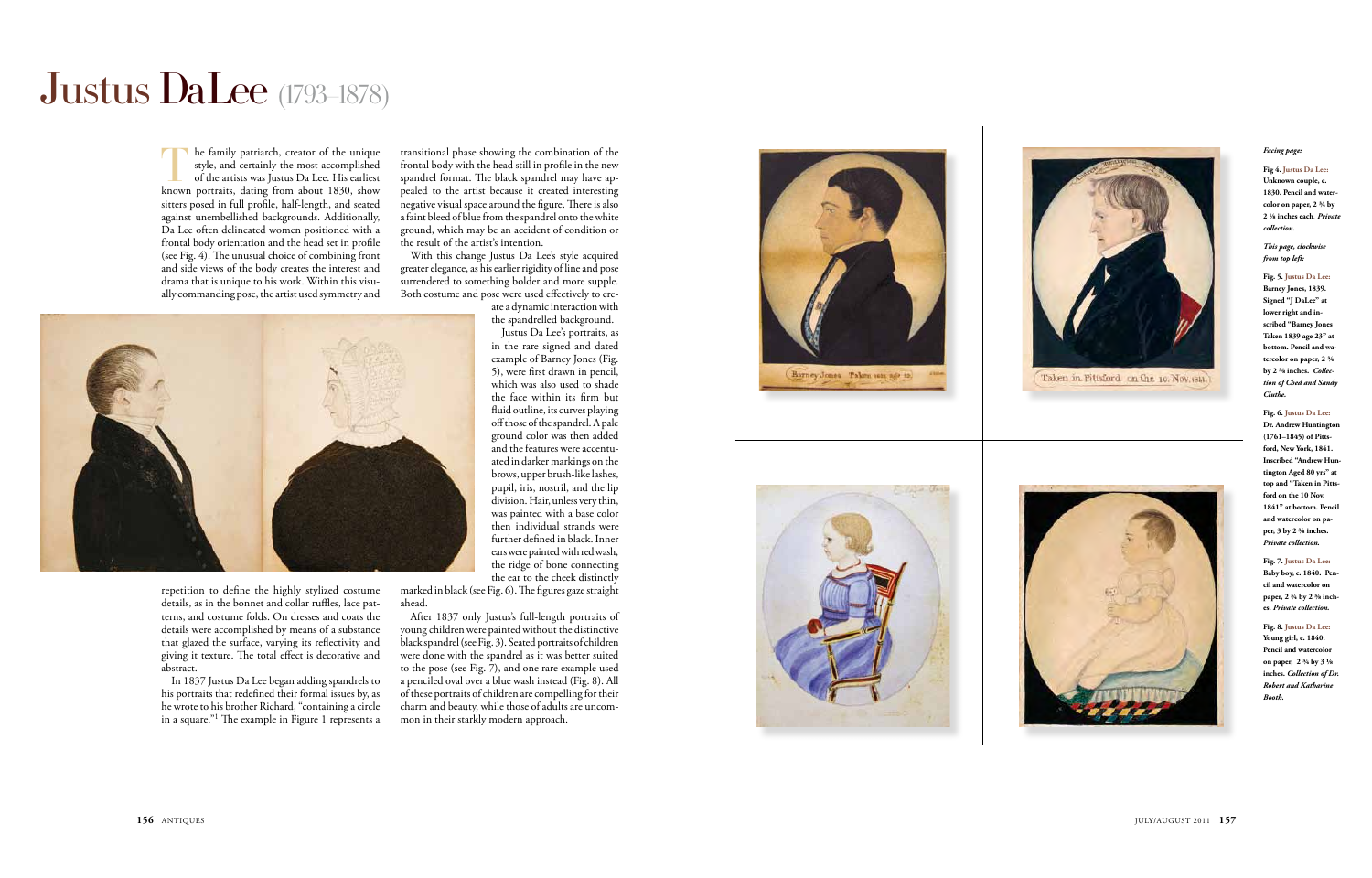The family patriarch, creator of the unique style, and certainly the most accomplished of the artists was Justus Da Lee. His earliest known portraits, dating from about 1830, show sitters posed in full profile, half-length, and seated against unembellished backgrounds. Additionally, Da Lee often delineated women positioned with a frontal body orientation and the head set in profile (see Fig. 4). The unusual choice of combining front and side views of the body creates the interest and drama that is unique to his work. Within this visually commanding pose, the artist used symmetry and

repetition to define the highly stylized costume details, as in the bonnet and collar ruffles, lace patterns, and costume folds. On dresses and coats the details were accomplished by means of a substance that glazed the surface, varying its reflectivity and giving it texture. The total effect is decorative and abstract.

In 1837 Justus Da Lee began adding spandrels to his portraits that redefined their formal issues by, as he wrote to his brother Richard, "containing a circle in a square." 1 The example in Figure 1 represents a

transitional phase showing the combination of the frontal body with the head still in profile in the new spandrel format. The black spandrel may have appealed to the artist because it created interesting negative visual space around the figure. There is also a faint bleed of blue from the spandrel onto the white ground, which may be an accident of condition or the result of the artist's intention.

With this change Justus Da Lee's style acquired greater elegance, as his earlier rigidity of line and pose surrendered to something bolder and more supple. Both costume and pose were used effectively to cre-

> ate a dynamic interaction with the spandrelled background. Justus Da Lee's portraits, as



in the rare signed and dated example of Barney Jones (Fig. 5), were first drawn in pencil, which was also used to shade the face within its firm but fluid outline, its curves playing off those of the spandrel. A pale ground color was then added and the features were accentuated in darker markings on the brows, upper brush-like lashes, pupil, iris, nostril, and the lip division. Hair, unless very thin, was painted with a base color then individual strands were further defined in black. Inner ears were painted with red wash, the ridge of bone connecting the ear to the cheek distinctly

marked in black (see Fig. 6). The figures gaze straight ahead.

After 1837 only Justus's full-length portraits of young children were painted without the distinctive black spandrel (see Fig. 3). Seated portraits of children were done with the spandrel as it was better suited to the pose (see Fig. 7), and one rare example used a penciled oval over a blue wash instead (Fig. 8). All of these portraits of children are compelling for their charm and beauty, while those of adults are uncommon in their starkly modern approach.









# Justus Da Lee (1793–1878)

#### *Facing page:*

**Fig 4. Justus Da Lee: Unknown couple, c.**  1830. Pencil and water **color on paper, 2 ¾ by 2 ⅛ inches each***. Private collection.*

*This page, clockwise from top left:*

**Fig. 5. Justus Da Lee: Barney Jones, 1839. Signed "J DaLee" at lower right and inscribed "Barney Jones Taken 1839 age 23" at bottom. Pencil and watercolor on paper, 2 ¾ by 2 ⅜ inches.** *Collection of Ched and Sandy Cluthe.*

**Fig. 6. Justus Da Lee: Dr. Andrew Huntington (1761–1845) of Pittsford, New York, 1841. Inscribed "Andrew Huntington Aged 80 yrs" at top and "Taken in Pittsford on the 10 Nov. 1841" at bottom. Pencil and watercolor on paper, 3 by 2 ⅜ inches.**  *Private collection.* 

**Fig. 7. Justus Da Lee: Baby boy, c. 1840. Pencil and watercolor on paper, 2 ¾ by 2 ⅜ inches.** *Private collection.*

**Fig. 8. Justus Da Lee: Young girl, c. 1840. Pencil and watercolor on paper, 2 ¾ by 3 ⅛ inches.** *Collection of Dr. Robert and Katharine Booth.*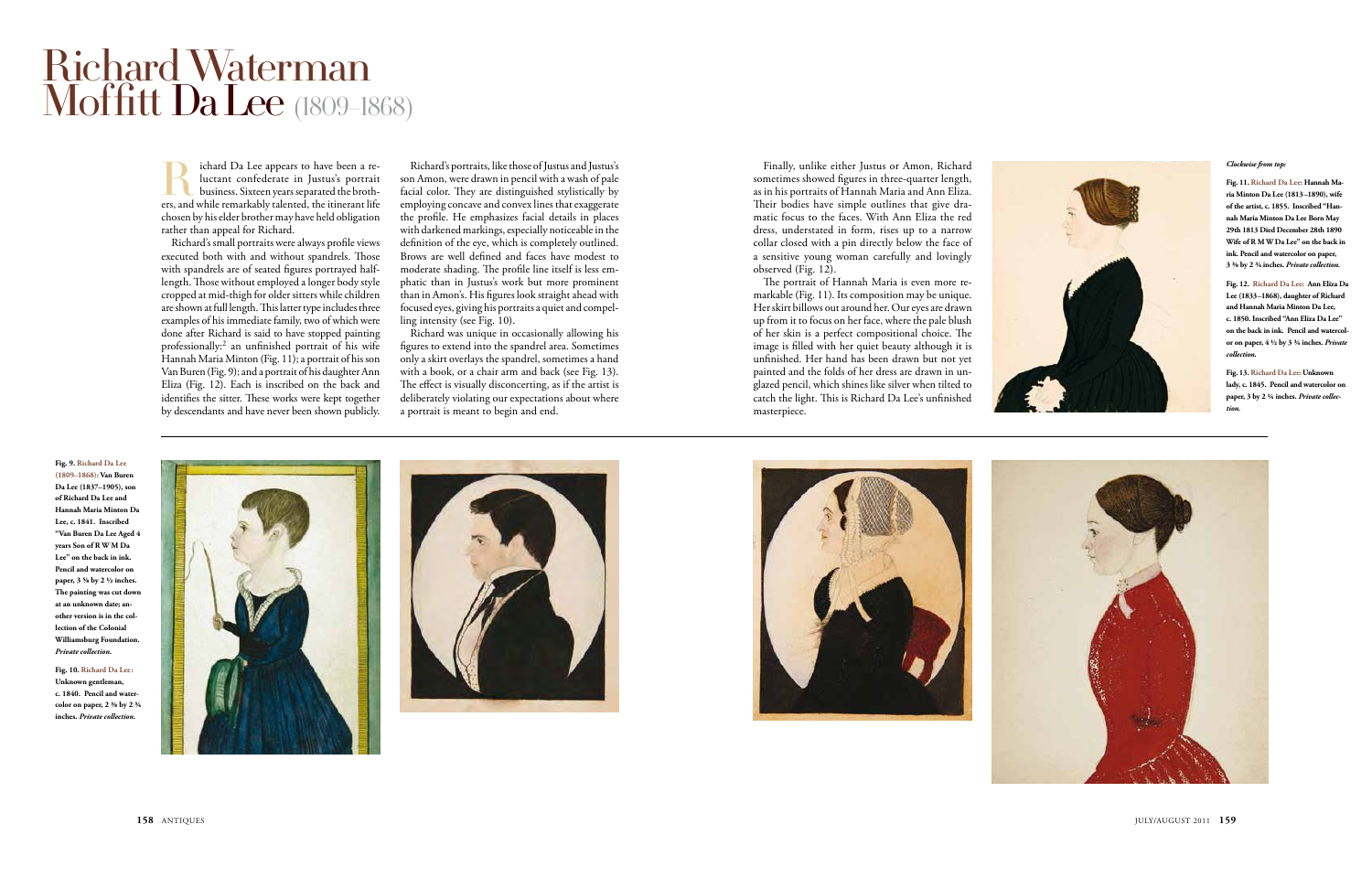Figure 2 appears to have been a re-<br>luctant confederate in Justus's portrait<br>business. Sixteen years separated the broth-<br>ers, and while remarkably talented, the itinerant life luctant confederate in Justus's portrait business. Sixteen years separated the brothchosen by his elder brother may have held obligation rather than appeal for Richard.

Richard's small portraits were always profile views executed both with and without spandrels. Those with spandrels are of seated figures portrayed halflength. Those without employed a longer body style cropped at mid-thigh for older sitters while children are shown at full length. This latter type includes three examples of his immediate family, two of which were done after Richard is said to have stopped painting professionally:2 an unfinished portrait of his wife Hannah Maria Minton (Fig. 11); a portrait of his son Van Buren (Fig. 9); and a portrait of his daughter Ann Eliza (Fig. 12). Each is inscribed on the back and identifies the sitter. These works were kept together by descendants and have never been shown publicly.

Richard's portraits, like those of Justus and Justus's son Amon, were drawn in pencil with a wash of pale facial color. They are distinguished stylistically by employing concave and convex lines that exaggerate the profile. He emphasizes facial details in places with darkened markings, especially noticeable in the definition of the eye, which is completely outlined. Brows are well defined and faces have modest to moderate shading. The profile line itself is less emphatic than in Justus's work but more prominent than in Amon's. His figures look straight ahead with focused eyes, giving his portraits a quiet and compelling intensity (see Fig. 10).

Richard was unique in occasionally allowing his figures to extend into the spandrel area. Sometimes only a skirt overlays the spandrel, sometimes a hand with a book, or a chair arm and back (see Fig. 13). The effect is visually disconcerting, as if the artist is deliberately violating our expectations about where a portrait is meant to begin and end.

Finally, unlike either Justus or Amon, Richard sometimes showed figures in three-quarter length, as in his portraits of Hannah Maria and Ann Eliza. Their bodies have simple outlines that give dramatic focus to the faces. With Ann Eliza the red dress, understated in form, rises up to a narrow collar closed with a pin directly below the face of a sensitive young woman carefully and lovingly observed (Fig. 12).

The portrait of Hannah Maria is even more remarkable (Fig. 11). Its composition may be unique. Her skirt billows out around her. Our eyes are drawn up from it to focus on her face, where the pale blush of her skin is a perfect compositional choice. The image is filled with her quiet beauty although it is unfinished. Her hand has been drawn but not yet painted and the folds of her dress are drawn in unglazed pencil, which shines like silver when tilted to catch the light. This is Richard Da Lee's unfinished masterpiece.

## Richard Waterman Moffitt Da Lee (1809–1868)

**Fig. 9. Richard Da Lee (1809–1868): Van Buren Da Lee (1837–1905), son of Richard Da Lee and Hannah Maria Minton Da Lee, c. 1841. Inscribed "Van Buren Da Lee Aged 4 years Son of R W M Da Lee" on the back in ink. Pencil and watercolor on paper, 3 ⅝ by 2 ½ inches. The painting was cut down at an unknown date; another version is in the collection of the Colonial Williamsburg Foundation.**  *Private collection.*

**Fig. 10. Richard Da Lee: Unknown gentleman, c. 1840. Pencil and watercolor on paper, 2 ⅜ by 2 ¾ inches.** *Private collection.*









### *Clockwise from top:*

**Fig. 11. Richard Da Lee: Hannah Maria Minton Da Lee (1813–1890), wife of the artist, c. 1855. Inscribed "Hannah Maria Minton Da Lee Born May 29th 1813 Died December 28th 1890 Wife of R M W Da Lee" on the back in ink. Pencil and watercolor on paper, 3 ⅜ by 2 ¾ inches.** *Private collection.*

**Fig. 12. Richard Da Lee: Ann Eliza Da Lee (1833–1868), daughter of Richard and Hannah Maria Minton Da Lee, c. 1850. Inscribed "Ann Eliza Da Lee" on the back in ink. Pencil and watercolor on paper, 4 ½ by 3 ¾ inches.** *Private collection.*

**Fig. 13. Richard Da Lee: Unknown lady, c. 1845. Pencil and watercolor on paper, 3 by 2 ¼ inches.** *Private collection.*